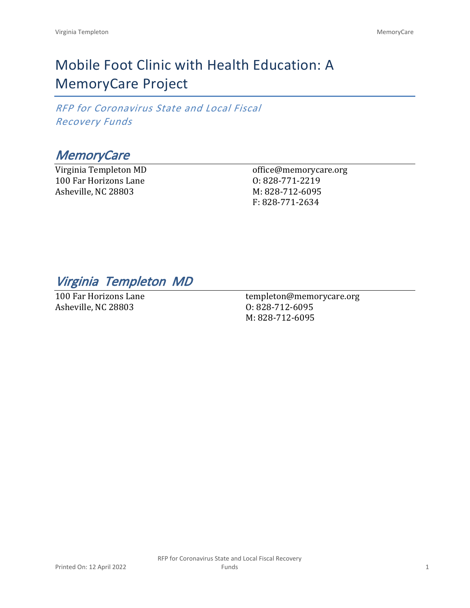# Mobile Foot Clinic with Health Education: A MemoryCare Project

*RFP for Coronavirus State and Local Fiscal Recovery Funds*

# *MemoryCare*

Virginia Templeton MD 100 Far Horizons Lane Asheville, NC 28803

office@memorycare.org O: 828-771-2219 M: 828-712-6095 F: 828-771-2634

*Virginia Templeton MD*

100 Far Horizons Lane Asheville, NC 28803

templeton@memorycare.org O: 828-712-6095 M: 828-712-6095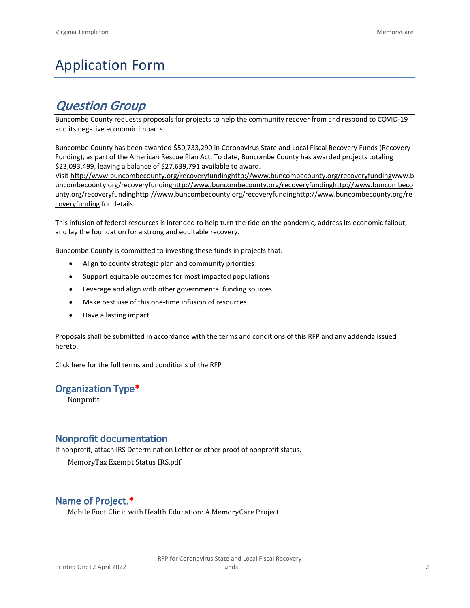# Application Form

# *Question Group*

Buncombe County requests proposals for projects to help the community recover from and respond to COVID-19 and its negative economic impacts.

Buncombe County has been awarded \$50,733,290 in Coronavirus State and Local Fiscal Recovery Funds (Recovery Funding), as part of the American Rescue Plan Act. To date, Buncombe County has awarded projects totaling \$23,093,499, leaving a balance of \$27,639,791 available to award.

Visit [http://www.buncombecounty.org/recoveryfundinghttp://www.buncombecounty.org/recoveryfundingwww.b](http://www.buncombecounty.org/recoveryfunding) [uncombecounty.org/recoveryfundinghttp://www.buncombecounty.org/recoveryfundinghttp://www.buncombeco](http://www.buncombecounty.org/recoveryfunding) [unty.org/recoveryfundinghttp://www.buncombecounty.org/recoveryfundinghttp://www.buncombecounty.org/re](http://www.buncombecounty.org/recoveryfunding) [coveryfunding](http://www.buncombecounty.org/recoveryfunding) for details.

This infusion of federal resources is intended to help turn the tide on the pandemic, address its economic fallout, and lay the foundation for a strong and equitable recovery.

Buncombe County is committed to investing these funds in projects that:

- Align to county strategic plan and community priorities
- Support equitable outcomes for most impacted populations
- Leverage and align with other governmental funding sources
- Make best use of this one-time infusion of resources
- Have a lasting impact

Proposals shall be submitted in accordance with the terms and conditions of this RFP and any addenda issued hereto.

Click [here](https://www.buncombecounty.org/common/purchasing/Buncombe%20Recovery%20Funding%20RFP%202022.pdf) for the full terms and conditions of the RFP

#### **Organization Type\***

Nonprofit

### **Nonprofit documentation**

If nonprofit, attach IRS Determination Letter or other proof of nonprofit status.

MemoryTax Exempt Status IRS.pdf

## **Name of Project.\***

Mobile Foot Clinic with Health Education: A MemoryCare Project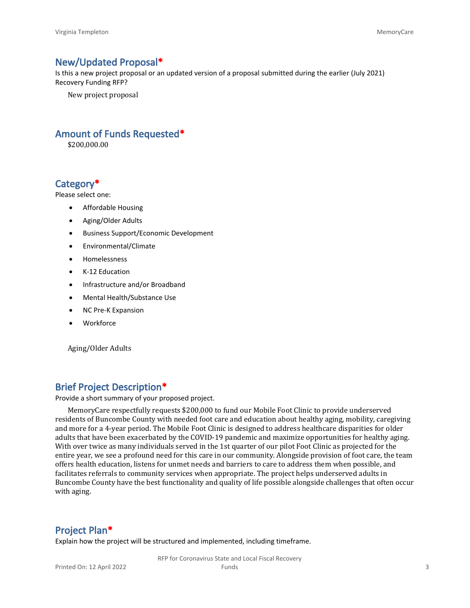### **New/Updated Proposal\***

Is this a new project proposal or an updated version of a proposal submitted during the earlier (July 2021) Recovery Funding RFP?

New project proposal

## **Amount of Funds Requested\***

\$200,000.00

## **Category\***

Please select one:

- Affordable Housing
- Aging/Older Adults
- Business Support/Economic Development
- Environmental/Climate
- Homelessness
- K-12 Education
- Infrastructure and/or Broadband
- Mental Health/Substance Use
- NC Pre-K Expansion
- Workforce

Aging/Older Adults

# **Brief Project Description\***

Provide a short summary of your proposed project.

MemoryCare respectfully requests \$200,000 to fund our Mobile Foot Clinic to provide underserved residents of Buncombe County with needed foot care and education about healthy aging, mobility, caregiving and more for a 4-year period. The Mobile Foot Clinic is designed to address healthcare disparities for older adults that have been exacerbated by the COVID-19 pandemic and maximize opportunities for healthy aging. With over twice as many individuals served in the 1st quarter of our pilot Foot Clinic as projected for the entire year, we see a profound need for this care in our community. Alongside provision of foot care, the team offers health education, listens for unmet needs and barriers to care to address them when possible, and facilitates referrals to community services when appropriate. The project helps underserved adults in Buncombe County have the best functionality and quality of life possible alongside challenges that often occur with aging.

#### **Project Plan\***

Explain how the project will be structured and implemented, including timeframe.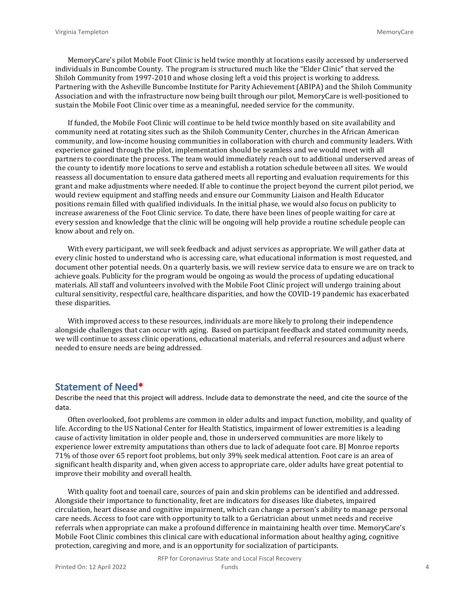MemoryCare's pilot Mobile Foot Clinic is held twice monthly at locations easily accessed by underserved individuals in Buncombe County. The program is structured much like the "Elder Clinic" that served the Shiloh Community from 1997-2010 and whose closing left a void this project is working to address. Partnering with the Asheville Buncombe Institute for Parity Achievement (ABIPA) and the Shiloh Community Association and with the infrastructure now being built through our pilot, MemoryCare is well-positioned to sustain the Mobile Foot Clinic over time as a meaningful, needed service for the community.

If funded, the Mobile Foot Clinic will continue to be held twice monthly based on site availability and community need at rotating sites such as the Shiloh Community Center, churches in the African American community, and low-income housing communities in collaboration with church and community leaders. With experience gained through the pilot, implementation should be seamless and we would meet with all partners to coordinate the process. The team would immediately reach out to additional underserved areas of the county to identify more locations to serve and establish a rotation schedule between all sites. We would reassess all documentation to ensure data gathered meets all reporting and evaluation requirements for this grant and make adjustments where needed. If able to continue the project beyond the current pilot period, we would review equipment and staffing needs and ensure our Community Liaison and Health Educator positions remain filled with qualified individuals. In the initial phase, we would also focus on publicity to increase awareness of the Foot Clinic service. To date, there have been lines of people waiting for care at every session and knowledge that the clinic will be ongoing will help provide a routine schedule people can know about and rely on.

With every participant, we will seek feedback and adjust services as appropriate. We will gather data at every clinic hosted to understand who is accessing care, what educational information is most requested, and document other potential needs. On a quarterly basis, we will review service data to ensure we are on track to achieve goals. Publicity for the program would be ongoing as would the process of updating educational materials. All staff and volunteers involved with the Mobile Foot Clinic project will undergo training about cultural sensitivity, respectful care, healthcare disparities, and how the COVID-19 pandemic has exacerbated these disparities.

With improved access to these resources, individuals are more likely to prolong their independence alongside challenges that can occur with aging. Based on participant feedback and stated community needs, we will continue to assess clinic operations, educational materials, and referral resources and adjust where needed to ensure needs are being addressed.

### **Statement of Need\***

Describe the need that this project will address. Include data to demonstrate the need, and cite the source of the data.

Often overlooked, foot problems are common in older adults and impact function, mobility, and quality of life. According to the US National Center for Health Statistics, impairment of lower extremities is a leading cause of activity limitation in older people and, those in underserved communities are more likely to experience lower extremity amputations than others due to lack of adequate foot care. BJ Monroe reports 71% of those over 65 report foot problems, but only 39% seek medical attention. Foot care is an area of significant health disparity and, when given access to appropriate care, older adults have great potential to improve their mobility and overall health.

With quality foot and toenail care, sources of pain and skin problems can be identified and addressed. Alongside their importance to functionality, feet are indicators for diseases like diabetes, impaired circulation, heart disease and cognitive impairment, which can change a person's ability to manage personal care needs. Access to foot care with opportunity to talk to a Geriatrician about unmet needs and receive referrals when appropriate can make a profound difference in maintaining health over time. MemoryCare's Mobile Foot Clinic combines this clinical care with educational information about healthy aging, cognitive protection, caregiving and more, and is an opportunity for socialization of participants.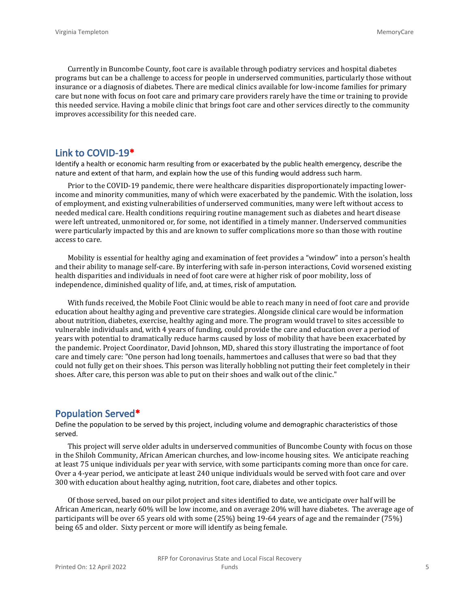Currently in Buncombe County, foot care is available through podiatry services and hospital diabetes programs but can be a challenge to access for people in underserved communities, particularly those without insurance or a diagnosis of diabetes. There are medical clinics available for low-income families for primary care but none with focus on foot care and primary care providers rarely have the time or training to provide this needed service. Having a mobile clinic that brings foot care and other services directly to the community improves accessibility for this needed care.

#### **Link to COVID-19\***

Identify a health or economic harm resulting from or exacerbated by the public health emergency, describe the nature and extent of that harm, and explain how the use of this funding would address such harm.

Prior to the COVID-19 pandemic, there were healthcare disparities disproportionately impacting lowerincome and minority communities, many of which were exacerbated by the pandemic. With the isolation, loss of employment, and existing vulnerabilities of underserved communities, many were left without access to needed medical care. Health conditions requiring routine management such as diabetes and heart disease were left untreated, unmonitored or, for some, not identified in a timely manner. Underserved communities were particularly impacted by this and are known to suffer complications more so than those with routine access to care.

Mobility is essential for healthy aging and examination of feet provides a "window" into a person's health and their ability to manage self-care. By interfering with safe in-person interactions, Covid worsened existing health disparities and individuals in need of foot care were at higher risk of poor mobility, loss of independence, diminished quality of life, and, at times, risk of amputation.

With funds received, the Mobile Foot Clinic would be able to reach many in need of foot care and provide education about healthy aging and preventive care strategies. Alongside clinical care would be information about nutrition, diabetes, exercise, healthy aging and more. The program would travel to sites accessible to vulnerable individuals and, with 4 years of funding, could provide the care and education over a period of years with potential to dramatically reduce harms caused by loss of mobility that have been exacerbated by the pandemic. Project Coordinator, David Johnson, MD, shared this story illustrating the importance of foot care and timely care: "One person had long toenails, hammertoes and calluses that were so bad that they could not fully get on their shoes. This person was literally hobbling not putting their feet completely in their shoes. After care, this person was able to put on their shoes and walk out of the clinic."

#### **Population Served\***

Define the population to be served by this project, including volume and demographic characteristics of those served.

This project will serve older adults in underserved communities of Buncombe County with focus on those in the Shiloh Community, African American churches, and low-income housing sites. We anticipate reaching at least 75 unique individuals per year with service, with some participants coming more than once for care. Over a 4-year period, we anticipate at least 240 unique individuals would be served with foot care and over 300 with education about healthy aging, nutrition, foot care, diabetes and other topics.

Of those served, based on our pilot project and sites identified to date, we anticipate over half will be African American, nearly 60% will be low income, and on average 20% will have diabetes. The average age of participants will be over 65 years old with some (25%) being 19-64 years of age and the remainder (75%) being 65 and older. Sixty percent or more will identify as being female.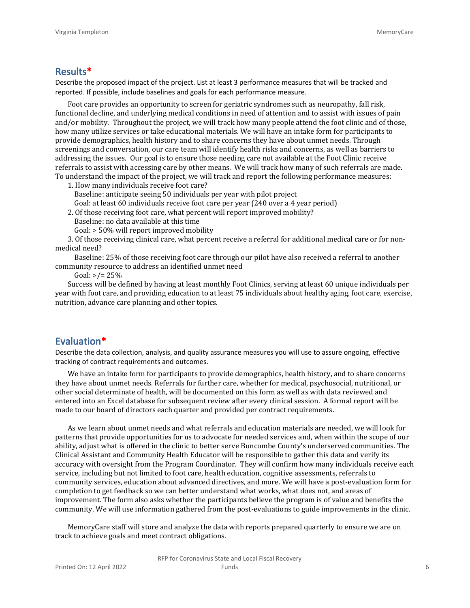### **Results\***

Describe the proposed impact of the project. List at least 3 performance measures that will be tracked and reported. If possible, include baselines and goals for each performance measure.

Foot care provides an opportunity to screen for geriatric syndromes such as neuropathy, fall risk, functional decline, and underlying medical conditions in need of attention and to assist with issues of pain and/or mobility. Throughout the project, we will track how many people attend the foot clinic and of those, how many utilize services or take educational materials. We will have an intake form for participants to provide demographics, health history and to share concerns they have about unmet needs. Through screenings and conversation, our care team will identify health risks and concerns, as well as barriers to addressing the issues. Our goal is to ensure those needing care not available at the Foot Clinic receive referrals to assist with accessing care by other means. We will track how many of such referrals are made. To understand the impact of the project, we will track and report the following performance measures:

1. How many individuals receive foot care?

Baseline: anticipate seeing 50 individuals per year with pilot project

Goal: at least 60 individuals receive foot care per year (240 over a 4 year period)

- 2. Of those receiving foot care, what percent will report improved mobility?
	- Baseline: no data available at this time
	- Goal: > 50% will report improved mobility

3. Of those receiving clinical care, what percent receive a referral for additional medical care or for nonmedical need?

 Baseline: 25% of those receiving foot care through our pilot have also received a referral to another community resource to address an identified unmet need

Goal:  $>$ /= 25%

Success will be defined by having at least monthly Foot Clinics, serving at least 60 unique individuals per year with foot care, and providing education to at least 75 individuals about healthy aging, foot care, exercise, nutrition, advance care planning and other topics.

#### **Evaluation\***

Describe the data collection, analysis, and quality assurance measures you will use to assure ongoing, effective tracking of contract requirements and outcomes.

We have an intake form for participants to provide demographics, health history, and to share concerns they have about unmet needs. Referrals for further care, whether for medical, psychosocial, nutritional, or other social determinate of health, will be documented on this form as well as with data reviewed and entered into an Excel database for subsequent review after every clinical session. A formal report will be made to our board of directors each quarter and provided per contract requirements.

As we learn about unmet needs and what referrals and education materials are needed, we will look for patterns that provide opportunities for us to advocate for needed services and, when within the scope of our ability, adjust what is offered in the clinic to better serve Buncombe County's underserved communities. The Clinical Assistant and Community Health Educator will be responsible to gather this data and verify its accuracy with oversight from the Program Coordinator. They will confirm how many individuals receive each service, including but not limited to foot care, health education, cognitive assessments, referrals to community services, education about advanced directives, and more. We will have a post-evaluation form for completion to get feedback so we can better understand what works, what does not, and areas of improvement. The form also asks whether the participants believe the program is of value and benefits the community. We will use information gathered from the post-evaluations to guide improvements in the clinic.

MemoryCare staff will store and analyze the data with reports prepared quarterly to ensure we are on track to achieve goals and meet contract obligations.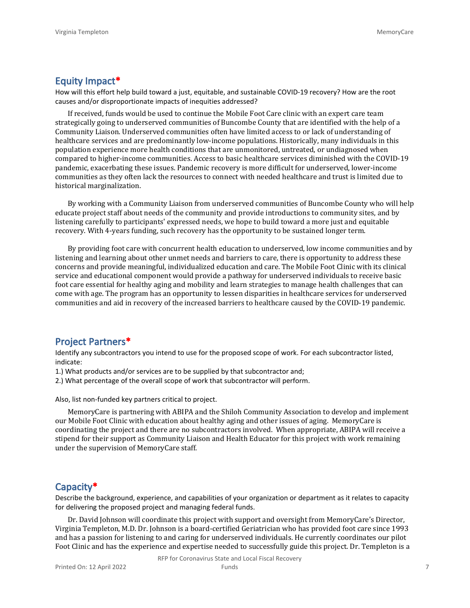#### **Equity Impact\***

How will this effort help build toward a just, equitable, and sustainable COVID-19 recovery? How are the root causes and/or disproportionate impacts of inequities addressed?

If received, funds would be used to continue the Mobile Foot Care clinic with an expert care team strategically going to underserved communities of Buncombe County that are identified with the help of a Community Liaison. Underserved communities often have limited access to or lack of understanding of healthcare services and are predominantly low-income populations. Historically, many individuals in this population experience more health conditions that are unmonitored, untreated, or undiagnosed when compared to higher-income communities. Access to basic healthcare services diminished with the COVID-19 pandemic, exacerbating these issues. Pandemic recovery is more difficult for underserved, lower-income communities as they often lack the resources to connect with needed healthcare and trust is limited due to historical marginalization.

By working with a Community Liaison from underserved communities of Buncombe County who will help educate project staff about needs of the community and provide introductions to community sites, and by listening carefully to participants' expressed needs, we hope to build toward a more just and equitable recovery. With 4-years funding, such recovery has the opportunity to be sustained longer term.

By providing foot care with concurrent health education to underserved, low income communities and by listening and learning about other unmet needs and barriers to care, there is opportunity to address these concerns and provide meaningful, individualized education and care. The Mobile Foot Clinic with its clinical service and educational component would provide a pathway for underserved individuals to receive basic foot care essential for healthy aging and mobility and learn strategies to manage health challenges that can come with age. The program has an opportunity to lessen disparities in healthcare services for underserved communities and aid in recovery of the increased barriers to healthcare caused by the COVID-19 pandemic.

#### **Project Partners\***

Identify any subcontractors you intend to use for the proposed scope of work. For each subcontractor listed, indicate:

- 1.) What products and/or services are to be supplied by that subcontractor and;
- 2.) What percentage of the overall scope of work that subcontractor will perform.

Also, list non-funded key partners critical to project.

MemoryCare is partnering with ABIPA and the Shiloh Community Association to develop and implement our Mobile Foot Clinic with education about healthy aging and other issues of aging. MemoryCare is coordinating the project and there are no subcontractors involved. When appropriate, ABIPA will receive a stipend for their support as Community Liaison and Health Educator for this project with work remaining under the supervision of MemoryCare staff.

#### **Capacity\***

Describe the background, experience, and capabilities of your organization or department as it relates to capacity for delivering the proposed project and managing federal funds.

Dr. David Johnson will coordinate this project with support and oversight from MemoryCare's Director, Virginia Templeton, M.D. Dr. Johnson is a board-certified Geriatrician who has provided foot care since 1993 and has a passion for listening to and caring for underserved individuals. He currently coordinates our pilot Foot Clinic and has the experience and expertise needed to successfully guide this project. Dr. Templeton is a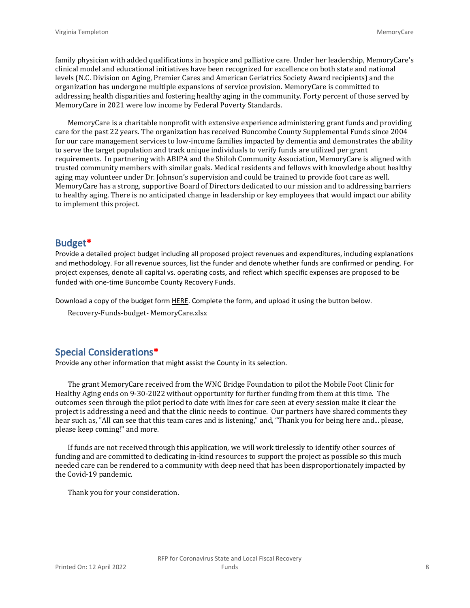family physician with added qualifications in hospice and palliative care. Under her leadership, MemoryCare's clinical model and educational initiatives have been recognized for excellence on both state and national levels (N.C. Division on Aging, Premier Cares and American Geriatrics Society Award recipients) and the organization has undergone multiple expansions of service provision. MemoryCare is committed to addressing health disparities and fostering healthy aging in the community. Forty percent of those served by MemoryCare in 2021 were low income by Federal Poverty Standards.

MemoryCare is a charitable nonprofit with extensive experience administering grant funds and providing care for the past 22 years. The organization has received Buncombe County Supplemental Funds since 2004 for our care management services to low-income families impacted by dementia and demonstrates the ability to serve the target population and track unique individuals to verify funds are utilized per grant requirements. In partnering with ABIPA and the Shiloh Community Association, MemoryCare is aligned with trusted community members with similar goals. Medical residents and fellows with knowledge about healthy aging may volunteer under Dr. Johnson's supervision and could be trained to provide foot care as well. MemoryCare has a strong, supportive Board of Directors dedicated to our mission and to addressing barriers to healthy aging. There is no anticipated change in leadership or key employees that would impact our ability to implement this project.

#### **Budget\***

Provide a detailed project budget including all proposed project revenues and expenditures, including explanations and methodology. For all revenue sources, list the funder and denote whether funds are confirmed or pending. For project expenses, denote all capital vs. operating costs, and reflect which specific expenses are proposed to be funded with one-time Buncombe County Recovery Funds.

Download a copy of the budget form [HERE](https://buncombecounty.org/common/community-investment/grants/early-childhood-education/Recovery-Funds-budget-template.xlsx). Complete the form, and upload it using the button below.

Recovery-Funds-budget- MemoryCare.xlsx

## **Special Considerations\***

Provide any other information that might assist the County in its selection.

The grant MemoryCare received from the WNC Bridge Foundation to pilot the Mobile Foot Clinic for Healthy Aging ends on 9-30-2022 without opportunity for further funding from them at this time. The outcomes seen through the pilot period to date with lines for care seen at every session make it clear the project is addressing a need and that the clinic needs to continue. Our partners have shared comments they hear such as, "All can see that this team cares and is listening," and, "Thank you for being here and... please, please keep coming!" and more.

If funds are not received through this application, we will work tirelessly to identify other sources of funding and are committed to dedicating in-kind resources to support the project as possible so this much needed care can be rendered to a community with deep need that has been disproportionately impacted by the Covid-19 pandemic.

Thank you for your consideration.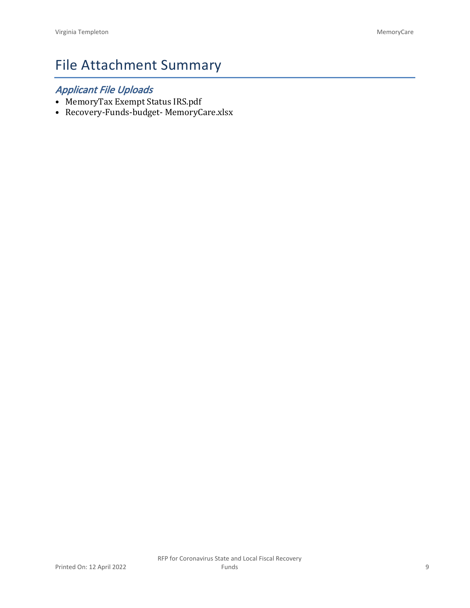# File Attachment Summary

# *Applicant File Uploads*

- MemoryTax Exempt Status IRS.pdf
- Recovery-Funds-budget- MemoryCare.xlsx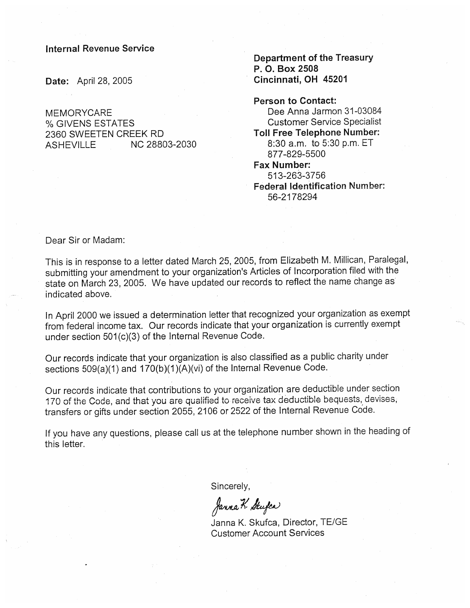#### **Internal Revenue Service**

Date: April 28, 2005

**MEMORYCARE** % GIVENS ESTATES 2360 SWEETEN CREEK RD **ASHFVILLE** NC 28803-2030 **Department of the Treasury** P. O. Box 2508 Cincinnati, OH 45201

**Person to Contact:** Dee Anna Jarmon 31-03084 **Customer Service Specialist Toll Free Telephone Number:** 8:30 a.m. to 5:30 p.m. ET 877-829-5500 **Fax Number:** 513-263-3756 **Federal Identification Number:** 

56-2178294

Dear Sir or Madam:

This is in response to a letter dated March 25, 2005, from Elizabeth M. Millican, Paralegal, submitting your amendment to your organization's Articles of Incorporation filed with the state on March 23, 2005. We have updated our records to reflect the name change as indicated above.

In April 2000 we issued a determination letter that recognized your organization as exempt from federal income tax. Our records indicate that your organization is currently exempt under section 501(c)(3) of the Internal Revenue Code.

Our records indicate that your organization is also classified as a public charity under sections 509(a)(1) and 170(b)(1)(A)(vi) of the Internal Revenue Code.

Our records indicate that contributions to your organization are deductible under section 170 of the Code, and that you are qualified to receive tax deductible bequests, devises, transfers or gifts under section 2055, 2106 or 2522 of the Internal Revenue Code.

If you have any questions, please call us at the telephone number shown in the heading of this letter.

Sincerely,

Janna K. Stufen

Janna K. Skufca, Director, TE/GE **Customer Account Services**